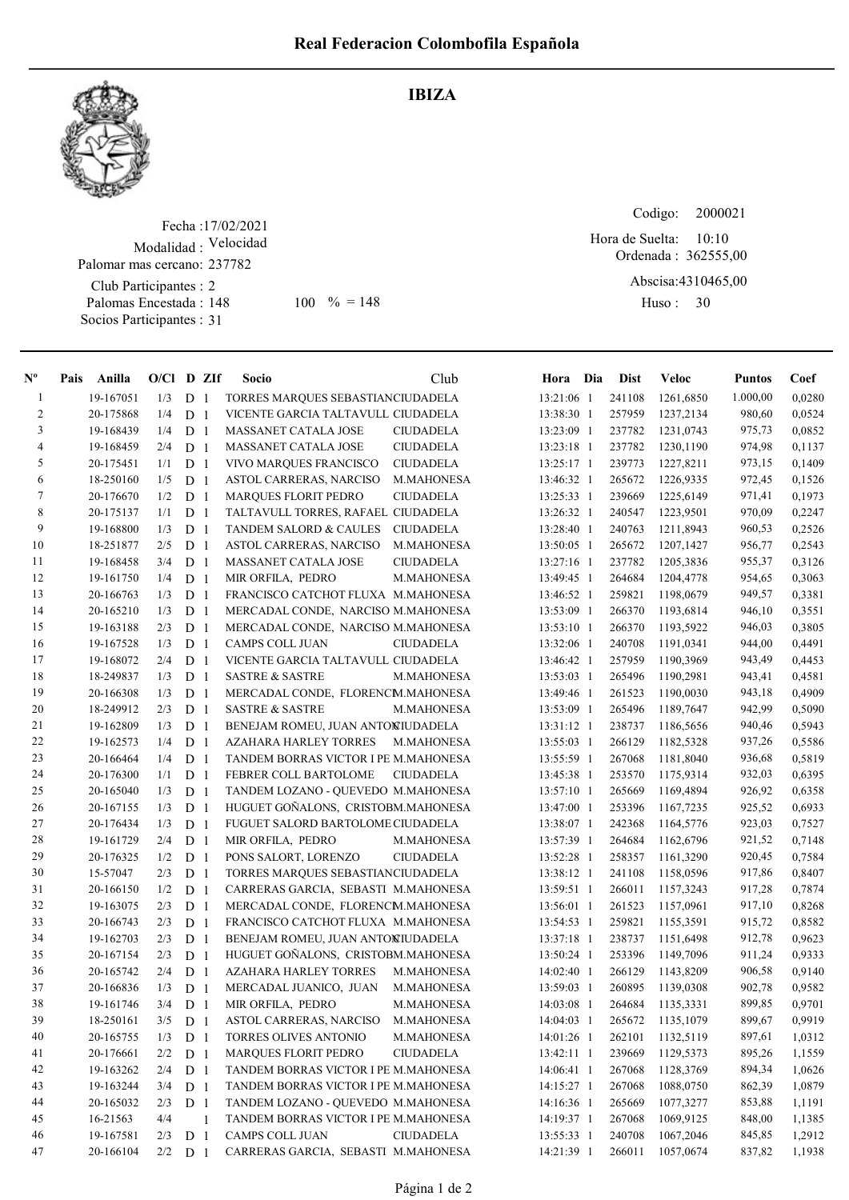IBIZA



## Fecha : 17/02/2021 Modalidad : Velocidad Club Participantes : 2 Palomar mas cercano: 237782

Palomas Encestada : Socios Participantes : 31

148 100 % = 148 Huso: 30

Codigo: 

Ordenada : 362555,00 Abscisa: 4310465,00 Hora de Suelta: 10:10

Huso: 30

| $N^{\circ}$    | Pais Anilla | $O/Cl$ D ZIf |                |              | <b>Socio</b>                         | Club              | Hora Dia     | <b>Dist</b> | Veloc     | <b>Puntos</b> | Coef   |
|----------------|-------------|--------------|----------------|--------------|--------------------------------------|-------------------|--------------|-------------|-----------|---------------|--------|
| $\mathbf{1}$   | 19-167051   | 1/3          | D <sub>1</sub> |              | TORRES MARQUES SEBASTIANCIUDADELA    |                   | 13:21:06 1   | 241108      | 1261,6850 | 1.000,00      | 0,0280 |
| $\overline{c}$ | 20-175868   | 1/4          | D              | -1           | VICENTE GARCIA TALTAVULL CIUDADELA   |                   | 13:38:30 1   | 257959      | 1237,2134 | 980,60        | 0,0524 |
| 3              | 19-168439   | 1/4          | D <sub>1</sub> |              | MASSANET CATALA JOSE                 | <b>CIUDADELA</b>  | 13:23:09 1   | 237782      | 1231,0743 | 975,73        | 0,0852 |
| 4              | 19-168459   | 2/4          | D <sub>1</sub> |              | MASSANET CATALA JOSE                 | <b>CIUDADELA</b>  | 13:23:18 1   | 237782      | 1230,1190 | 974,98        | 0,1137 |
| 5              | 20-175451   | 1/1          | D              | -1           | VIVO MARQUES FRANCISCO               | <b>CIUDADELA</b>  | $13:25:17$ 1 | 239773      | 1227,8211 | 973,15        | 0,1409 |
| 6              | 18-250160   | 1/5          | D              | -1           | ASTOL CARRERAS, NARCISO              | M.MAHONESA        | 13:46:32 1   | 265672      | 1226,9335 | 972,45        | 0,1526 |
| 7              | 20-176670   | 1/2          | D              | -1           | <b>MARQUES FLORIT PEDRO</b>          | <b>CIUDADELA</b>  | 13:25:33 1   | 239669      | 1225,6149 | 971,41        | 0,1973 |
| $\,$ 8 $\,$    | 20-175137   | 1/1          | D              | -1           | TALTAVULL TORRES, RAFAEL CIUDADELA   |                   | 13:26:32 1   | 240547      | 1223,9501 | 970,09        | 0,2247 |
| 9              | 19-168800   | 1/3          | D <sub>1</sub> |              | TANDEM SALORD & CAULES               | <b>CIUDADELA</b>  | 13:28:40 1   | 240763      | 1211,8943 | 960,53        | 0,2526 |
| 10             | 18-251877   | 2/5          | D <sub>1</sub> |              | ASTOL CARRERAS, NARCISO              | M.MAHONESA        | 13:50:05 1   | 265672      | 1207,1427 | 956,77        | 0,2543 |
| 11             | 19-168458   | 3/4          | D <sub>1</sub> |              | MASSANET CATALA JOSE                 | <b>CIUDADELA</b>  | 13:27:16 1   | 237782      | 1205,3836 | 955,37        | 0,3126 |
| 12             | 19-161750   | 1/4          | D <sub>1</sub> |              | MIR ORFILA, PEDRO                    | M.MAHONESA        | 13:49:45 1   | 264684      | 1204,4778 | 954,65        | 0,3063 |
| 13             | 20-166763   | 1/3          | D <sub>1</sub> |              | FRANCISCO CATCHOT FLUXA M.MAHONESA   |                   | 13:46:52 1   | 259821      | 1198,0679 | 949,57        | 0,3381 |
| 14             | 20-165210   | 1/3          | D              | -1           | MERCADAL CONDE, NARCISO M.MAHONESA   |                   | 13:53:09 1   | 266370      | 1193,6814 | 946,10        | 0,3551 |
| 15             | 19-163188   | 2/3          | $\mathbf D$    | $\mathbf{1}$ | MERCADAL CONDE, NARCISO M.MAHONESA   |                   | 13:53:10 1   | 266370      | 1193,5922 | 946,03        | 0,3805 |
| 16             | 19-167528   | 1/3          | D              | -1           | CAMPS COLL JUAN                      | <b>CIUDADELA</b>  | 13:32:06 1   | 240708      | 1191,0341 | 944,00        | 0,4491 |
| 17             | 19-168072   | 2/4          | D              | -1           | VICENTE GARCIA TALTAVULL CIUDADELA   |                   | 13:46:42 1   | 257959      | 1190,3969 | 943,49        | 0,4453 |
| 18             | 18-249837   | 1/3          | D              | -1           | <b>SASTRE &amp; SASTRE</b>           | <b>M.MAHONESA</b> | 13:53:03 1   | 265496      | 1190,2981 | 943,41        | 0,4581 |
| 19             | 20-166308   | 1/3          | D              | -1           | MERCADAL CONDE, FLORENCM.MAHONESA    |                   | 13:49:46 1   | 261523      | 1190,0030 | 943,18        | 0,4909 |
| 20             | 18-249912   | 2/3          | $\mathbf D$    | -1           | <b>SASTRE &amp; SASTRE</b>           | M.MAHONESA        | 13:53:09 1   | 265496      | 1189,7647 | 942,99        | 0,5090 |
| 21             | 19-162809   | 1/3          | D              | $\mathbf{1}$ | BENEJAM ROMEU, JUAN ANTONIUDADELA    |                   | 13:31:12 1   | 238737      | 1186,5656 | 940,46        | 0,5943 |
| 22             | 19-162573   | 1/4          | D <sub>1</sub> |              | <b>AZAHARA HARLEY TORRES</b>         | M.MAHONESA        | 13:55:03 1   | 266129      | 1182,5328 | 937,26        | 0,5586 |
| 23             | 20-166464   | 1/4          | D <sub>1</sub> |              | TANDEM BORRAS VICTOR I PE M.MAHONESA |                   | 13:55:59 1   | 267068      | 1181,8040 | 936,68        | 0,5819 |
| 24             | 20-176300   | 1/1          | D <sub>1</sub> |              | FEBRER COLL BARTOLOME                | <b>CIUDADELA</b>  | 13:45:38 1   | 253570      | 1175,9314 | 932,03        | 0,6395 |
| 25             | 20-165040   | 1/3          | D <sub>1</sub> |              | TANDEM LOZANO - QUEVEDO M.MAHONESA   |                   | $13:57:10$ 1 | 265669      | 1169,4894 | 926,92        | 0,6358 |
| 26             | 20-167155   | 1/3          | D <sub>1</sub> |              | HUGUET GOÑALONS, CRISTOBM.MAHONESA   |                   | 13:47:00 1   | 253396      | 1167,7235 | 925,52        | 0,6933 |
| 27             | 20-176434   | 1/3          | D              | $\mathbf{1}$ | FUGUET SALORD BARTOLOME CIUDADELA    |                   | 13:38:07 1   | 242368      | 1164,5776 | 923,03        | 0,7527 |
| $28\,$         | 19-161729   | 2/4          | D <sub>1</sub> |              | MIR ORFILA, PEDRO                    | M.MAHONESA        | 13:57:39 1   | 264684      | 1162,6796 | 921,52        | 0,7148 |
| 29             | 20-176325   | 1/2          | D              | -1           | PONS SALORT, LORENZO                 | <b>CIUDADELA</b>  | 13:52:28 1   | 258357      | 1161,3290 | 920,45        | 0,7584 |
| 30             | 15-57047    | 2/3          | D              | -1           | TORRES MARQUES SEBASTIANCIUDADELA    |                   | 13:38:12 1   | 241108      | 1158,0596 | 917,86        | 0,8407 |
| 31             | 20-166150   | 1/2          | D <sub>1</sub> |              | CARRERAS GARCIA, SEBASTI M.MAHONESA  |                   | 13:59:51 1   | 266011      | 1157,3243 | 917,28        | 0,7874 |
| 32             | 19-163075   | 2/3          | D              | -1           | MERCADAL CONDE, FLORENCM.MAHONESA    |                   | 13:56:01 1   | 261523      | 1157,0961 | 917,10        | 0,8268 |
| 33             | 20-166743   | 2/3          | D              | -1           | FRANCISCO CATCHOT FLUXA M.MAHONESA   |                   | 13:54:53 1   | 259821      | 1155,3591 | 915,72        | 0,8582 |
| 34             | 19-162703   | 2/3          | D <sub>1</sub> |              | BENEJAM ROMEU, JUAN ANTONIUDADELA    |                   | 13:37:18 1   | 238737      | 1151,6498 | 912,78        | 0,9623 |
| 35             | 20-167154   | 2/3          | D <sub>1</sub> |              | HUGUET GOÑALONS, CRISTOBM.MAHONESA   |                   | 13:50:24 1   | 253396      | 1149,7096 | 911,24        | 0,9333 |
| 36             | 20-165742   | 2/4          | D <sub>1</sub> |              | AZAHARA HARLEY TORRES                | M.MAHONESA        | $14:02:40$ 1 | 266129      | 1143,8209 | 906,58        | 0,9140 |
| 37             | 20-166836   | 1/3          | D <sub>1</sub> |              | MERCADAL JUANICO, JUAN               | M.MAHONESA        | 13:59:03 1   | 260895      | 1139,0308 | 902,78        | 0,9582 |
| 38             | 19-161746   | $3/4$        | D <sub>1</sub> |              | MIR ORFILA, PEDRO                    | M.MAHONESA        | 14:03:08 1   | 264684      | 1135,3331 | 899,85        | 0,9701 |
| 39             | 18-250161   | 3/5          | D <sub>1</sub> |              | ASTOL CARRERAS, NARCISO              | M.MAHONESA        | 14:04:03 1   | 265672      | 1135,1079 | 899,67        | 0,9919 |
| 40             | 20-165755   | 1/3          | D <sub>1</sub> |              | TORRES OLIVES ANTONIO                | M.MAHONESA        | 14:01:26 1   | 262101      | 1132,5119 | 897,61        | 1,0312 |
| 41             | 20-176661   | 2/2          | D <sub>1</sub> |              | MARQUES FLORIT PEDRO                 | <b>CIUDADELA</b>  | $13:42:11$ 1 | 239669      | 1129,5373 | 895,26        | 1,1559 |
| 42             | 19-163262   | 2/4          | D <sub>1</sub> |              | TANDEM BORRAS VICTOR I PE M.MAHONESA |                   | 14:06:41 1   | 267068      | 1128,3769 | 894,34        | 1,0626 |
| 43             | 19-163244   | 3/4          | D <sub>1</sub> |              | TANDEM BORRAS VICTOR I PE M.MAHONESA |                   | $14:15:27$ 1 | 267068      | 1088,0750 | 862,39        | 1,0879 |
| 44             | 20-165032   | 2/3          | D <sub>1</sub> |              | TANDEM LOZANO - QUEVEDO M.MAHONESA   |                   | 14:16:36 1   | 265669      | 1077,3277 | 853,88        | 1,1191 |
| 45             | 16-21563    | 4/4          |                | -1           | TANDEM BORRAS VICTOR I PE M.MAHONESA |                   | 14:19:37 1   | 267068      | 1069,9125 | 848,00        | 1,1385 |
| 46             | 19-167581   | 2/3          | D <sub>1</sub> |              | CAMPS COLL JUAN                      | <b>CIUDADELA</b>  | 13:55:33 1   | 240708      | 1067,2046 | 845,85        | 1,2912 |
| 47             | 20-166104   | 2/2          | D <sub>1</sub> |              | CARRERAS GARCIA, SEBASTI M.MAHONESA  |                   | 14:21:39 1   | 266011      | 1057,0674 | 837,82        | 1,1938 |
|                |             |              |                |              |                                      |                   |              |             |           |               |        |